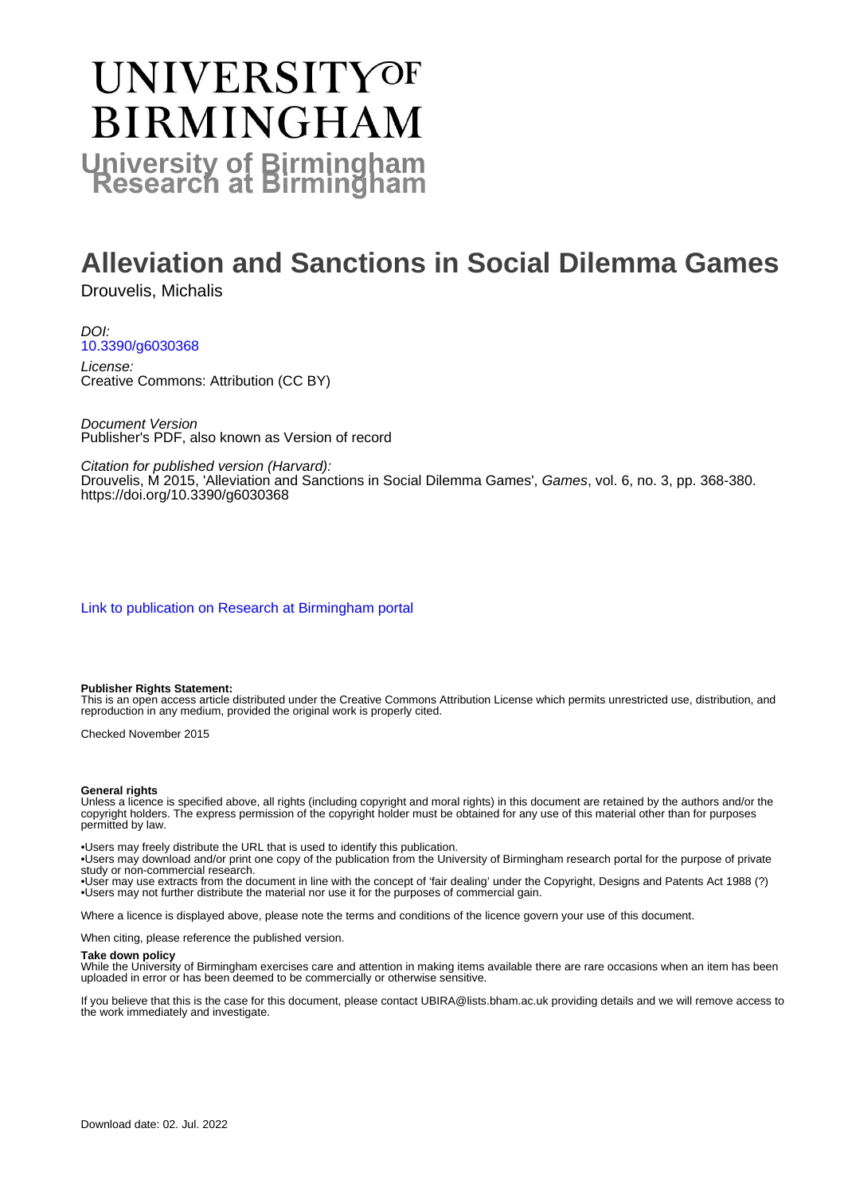# **UNIVERSITYOF BIRMINGHAM University of Birmingham**

# **Alleviation and Sanctions in Social Dilemma Games**

Drouvelis, Michalis

DOI: [10.3390/g6030368](https://doi.org/10.3390/g6030368)

License: Creative Commons: Attribution (CC BY)

Document Version Publisher's PDF, also known as Version of record

Citation for published version (Harvard):

Drouvelis, M 2015, 'Alleviation and Sanctions in Social Dilemma Games', Games, vol. 6, no. 3, pp. 368-380. <https://doi.org/10.3390/g6030368>

[Link to publication on Research at Birmingham portal](https://birmingham.elsevierpure.com/en/publications/d7dd1251-07b9-481a-bfa4-67e753120b9d)

#### **Publisher Rights Statement:**

This is an open access article distributed under the Creative Commons Attribution License which permits unrestricted use, distribution, and reproduction in any medium, provided the original work is properly cited.

Checked November 2015

#### **General rights**

Unless a licence is specified above, all rights (including copyright and moral rights) in this document are retained by the authors and/or the copyright holders. The express permission of the copyright holder must be obtained for any use of this material other than for purposes permitted by law.

• Users may freely distribute the URL that is used to identify this publication.

• Users may download and/or print one copy of the publication from the University of Birmingham research portal for the purpose of private study or non-commercial research.

• User may use extracts from the document in line with the concept of 'fair dealing' under the Copyright, Designs and Patents Act 1988 (?) • Users may not further distribute the material nor use it for the purposes of commercial gain.

Where a licence is displayed above, please note the terms and conditions of the licence govern your use of this document.

When citing, please reference the published version.

#### **Take down policy**

While the University of Birmingham exercises care and attention in making items available there are rare occasions when an item has been uploaded in error or has been deemed to be commercially or otherwise sensitive.

If you believe that this is the case for this document, please contact UBIRA@lists.bham.ac.uk providing details and we will remove access to the work immediately and investigate.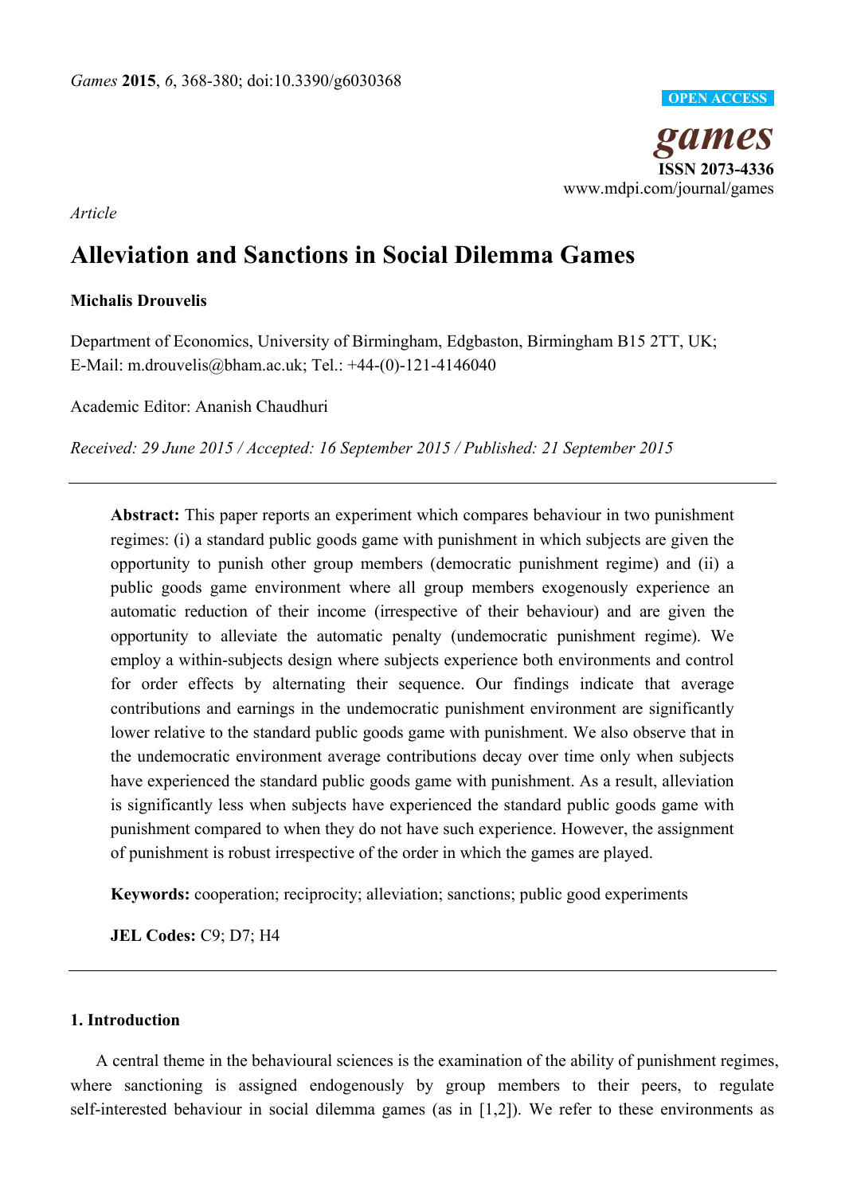

*Article*

# **Alleviation and Sanctions in Social Dilemma Games**

## **Michalis Drouvelis**

Department of Economics, University of Birmingham, Edgbaston, Birmingham B15 2TT, UK; E-Mail: m.drouvelis@bham.ac.uk; Tel.: +44-(0)-121-4146040

Academic Editor: Ananish Chaudhuri

*Received: 29 June 2015 / Accepted: 16 September 2015 / Published: 21 September 2015* 

**Abstract:** This paper reports an experiment which compares behaviour in two punishment regimes: (i) a standard public goods game with punishment in which subjects are given the opportunity to punish other group members (democratic punishment regime) and (ii) a public goods game environment where all group members exogenously experience an automatic reduction of their income (irrespective of their behaviour) and are given the opportunity to alleviate the automatic penalty (undemocratic punishment regime). We employ a within-subjects design where subjects experience both environments and control for order effects by alternating their sequence. Our findings indicate that average contributions and earnings in the undemocratic punishment environment are significantly lower relative to the standard public goods game with punishment. We also observe that in the undemocratic environment average contributions decay over time only when subjects have experienced the standard public goods game with punishment. As a result, alleviation is significantly less when subjects have experienced the standard public goods game with punishment compared to when they do not have such experience. However, the assignment of punishment is robust irrespective of the order in which the games are played.

**Keywords:** cooperation; reciprocity; alleviation; sanctions; public good experiments

**JEL Codes:** C9; D7; H4

## **1. Introduction**

A central theme in the behavioural sciences is the examination of the ability of punishment regimes, where sanctioning is assigned endogenously by group members to their peers, to regulate self-interested behaviour in social dilemma games (as in [1,2]). We refer to these environments as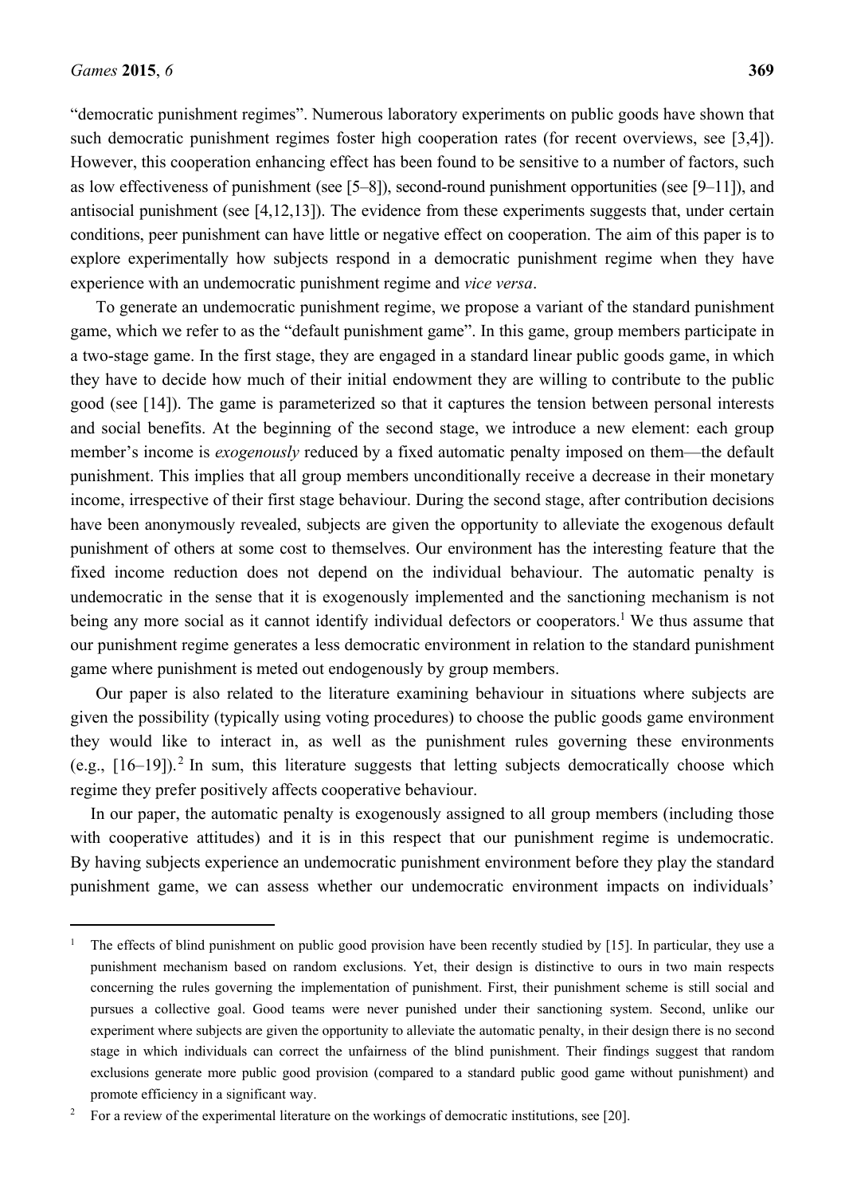$\overline{a}$ 

"democratic punishment regimes". Numerous laboratory experiments on public goods have shown that such democratic punishment regimes foster high cooperation rates (for recent overviews, see [3,4]). However, this cooperation enhancing effect has been found to be sensitive to a number of factors, such as low effectiveness of punishment (see [5–8]), second-round punishment opportunities (see [9–11]), and antisocial punishment (see [4,12,13]). The evidence from these experiments suggests that, under certain conditions, peer punishment can have little or negative effect on cooperation. The aim of this paper is to explore experimentally how subjects respond in a democratic punishment regime when they have experience with an undemocratic punishment regime and *vice versa*.

To generate an undemocratic punishment regime, we propose a variant of the standard punishment game, which we refer to as the "default punishment game". In this game, group members participate in a two-stage game. In the first stage, they are engaged in a standard linear public goods game, in which they have to decide how much of their initial endowment they are willing to contribute to the public good (see [14]). The game is parameterized so that it captures the tension between personal interests and social benefits. At the beginning of the second stage, we introduce a new element: each group member's income is *exogenously* reduced by a fixed automatic penalty imposed on them—the default punishment. This implies that all group members unconditionally receive a decrease in their monetary income, irrespective of their first stage behaviour. During the second stage, after contribution decisions have been anonymously revealed, subjects are given the opportunity to alleviate the exogenous default punishment of others at some cost to themselves. Our environment has the interesting feature that the fixed income reduction does not depend on the individual behaviour. The automatic penalty is undemocratic in the sense that it is exogenously implemented and the sanctioning mechanism is not being any more social as it cannot identify individual defectors or cooperators.<sup>1</sup> We thus assume that our punishment regime generates a less democratic environment in relation to the standard punishment game where punishment is meted out endogenously by group members.

Our paper is also related to the literature examining behaviour in situations where subjects are given the possibility (typically using voting procedures) to choose the public goods game environment they would like to interact in, as well as the punishment rules governing these environments (e.g.,  $[16-19]$ ).<sup>2</sup> In sum, this literature suggests that letting subjects democratically choose which regime they prefer positively affects cooperative behaviour.

In our paper, the automatic penalty is exogenously assigned to all group members (including those with cooperative attitudes) and it is in this respect that our punishment regime is undemocratic. By having subjects experience an undemocratic punishment environment before they play the standard punishment game, we can assess whether our undemocratic environment impacts on individuals'

<sup>1</sup> The effects of blind punishment on public good provision have been recently studied by [15]. In particular, they use a punishment mechanism based on random exclusions. Yet, their design is distinctive to ours in two main respects concerning the rules governing the implementation of punishment. First, their punishment scheme is still social and pursues a collective goal. Good teams were never punished under their sanctioning system. Second, unlike our experiment where subjects are given the opportunity to alleviate the automatic penalty, in their design there is no second stage in which individuals can correct the unfairness of the blind punishment. Their findings suggest that random exclusions generate more public good provision (compared to a standard public good game without punishment) and promote efficiency in a significant way.

<sup>2</sup> For a review of the experimental literature on the workings of democratic institutions, see [20].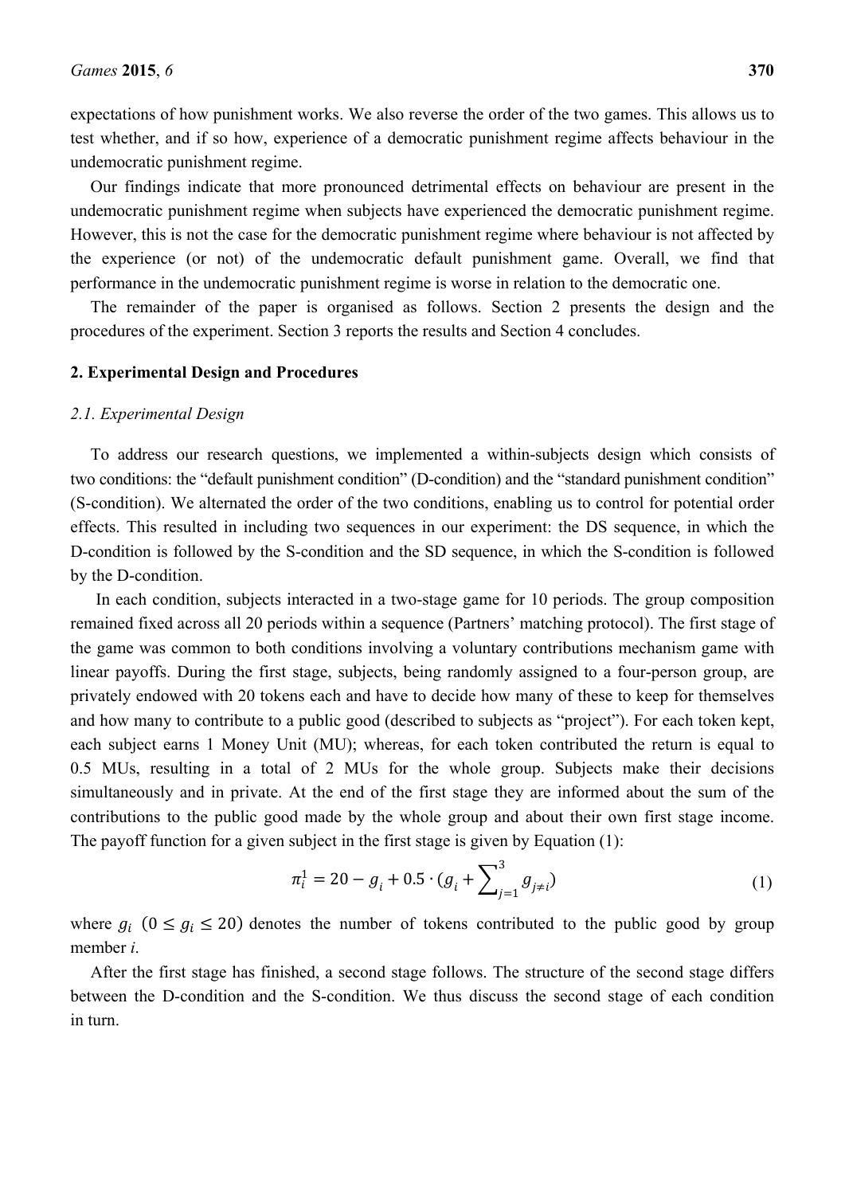expectations of how punishment works. We also reverse the order of the two games. This allows us to test whether, and if so how, experience of a democratic punishment regime affects behaviour in the undemocratic punishment regime.

Our findings indicate that more pronounced detrimental effects on behaviour are present in the undemocratic punishment regime when subjects have experienced the democratic punishment regime. However, this is not the case for the democratic punishment regime where behaviour is not affected by the experience (or not) of the undemocratic default punishment game. Overall, we find that performance in the undemocratic punishment regime is worse in relation to the democratic one.

The remainder of the paper is organised as follows. Section 2 presents the design and the procedures of the experiment. Section 3 reports the results and Section 4 concludes.

#### **2. Experimental Design and Procedures**

#### *2.1. Experimental Design*

To address our research questions, we implemented a within-subjects design which consists of two conditions: the "default punishment condition" (D-condition) and the "standard punishment condition" (S-condition). We alternated the order of the two conditions, enabling us to control for potential order effects. This resulted in including two sequences in our experiment: the DS sequence, in which the D-condition is followed by the S-condition and the SD sequence, in which the S-condition is followed by the D-condition.

In each condition, subjects interacted in a two-stage game for 10 periods. The group composition remained fixed across all 20 periods within a sequence (Partners' matching protocol). The first stage of the game was common to both conditions involving a voluntary contributions mechanism game with linear payoffs. During the first stage, subjects, being randomly assigned to a four-person group, are privately endowed with 20 tokens each and have to decide how many of these to keep for themselves and how many to contribute to a public good (described to subjects as "project"). For each token kept, each subject earns 1 Money Unit (MU); whereas, for each token contributed the return is equal to 0.5 MUs, resulting in a total of 2 MUs for the whole group. Subjects make their decisions simultaneously and in private. At the end of the first stage they are informed about the sum of the contributions to the public good made by the whole group and about their own first stage income. The payoff function for a given subject in the first stage is given by Equation (1):

$$
\pi_i^1 = 20 - g_i + 0.5 \cdot (g_i + \sum_{j=1}^3 g_{j \neq i})
$$
\n(1)

where  $g_i$  ( $0 \le g_i \le 20$ ) denotes the number of tokens contributed to the public good by group member *i*.

After the first stage has finished, a second stage follows. The structure of the second stage differs between the D-condition and the S-condition. We thus discuss the second stage of each condition in turn.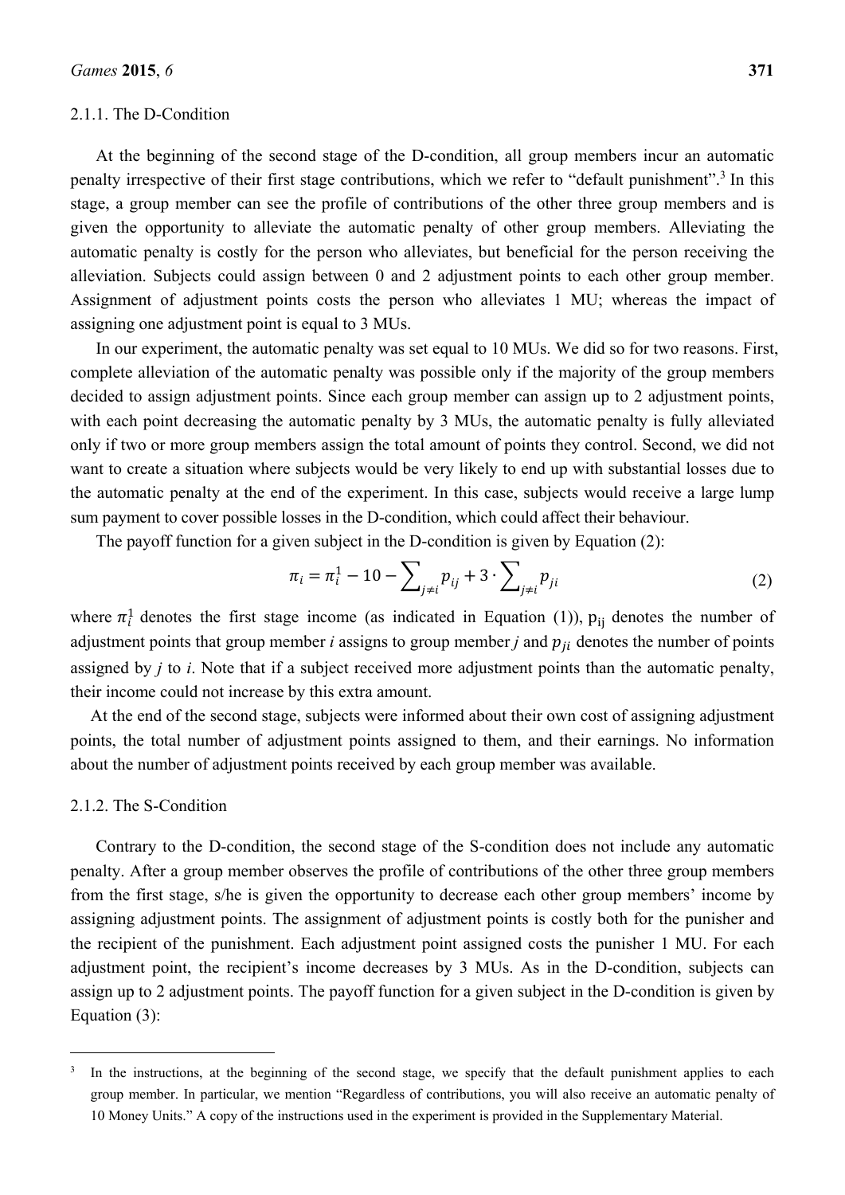#### 2.1.1. The D-Condition

At the beginning of the second stage of the D-condition, all group members incur an automatic penalty irrespective of their first stage contributions, which we refer to "default punishment".<sup>3</sup> In this stage, a group member can see the profile of contributions of the other three group members and is given the opportunity to alleviate the automatic penalty of other group members. Alleviating the automatic penalty is costly for the person who alleviates, but beneficial for the person receiving the alleviation. Subjects could assign between 0 and 2 adjustment points to each other group member. Assignment of adjustment points costs the person who alleviates 1 MU; whereas the impact of assigning one adjustment point is equal to 3 MUs.

In our experiment, the automatic penalty was set equal to 10 MUs. We did so for two reasons. First, complete alleviation of the automatic penalty was possible only if the majority of the group members decided to assign adjustment points. Since each group member can assign up to 2 adjustment points, with each point decreasing the automatic penalty by 3 MUs, the automatic penalty is fully alleviated only if two or more group members assign the total amount of points they control. Second, we did not want to create a situation where subjects would be very likely to end up with substantial losses due to the automatic penalty at the end of the experiment. In this case, subjects would receive a large lump sum payment to cover possible losses in the D-condition, which could affect their behaviour.

The payoff function for a given subject in the D-condition is given by Equation (2):

$$
\pi_i = \pi_i^1 - 10 - \sum_{j \neq i} p_{ij} + 3 \cdot \sum_{j \neq i} p_{ji}
$$
 (2)

where  $\pi_i^1$  denotes the first stage income (as indicated in Equation (1)),  $p_{ij}$  denotes the number of adjustment points that group member  $i$  assigns to group member  $j$  and  $p_{ji}$  denotes the number of points assigned by *j* to *i*. Note that if a subject received more adjustment points than the automatic penalty, their income could not increase by this extra amount.

At the end of the second stage, subjects were informed about their own cost of assigning adjustment points, the total number of adjustment points assigned to them, and their earnings. No information about the number of adjustment points received by each group member was available.

#### 2.1.2. The S-Condition

 $\overline{a}$ 

Contrary to the D-condition, the second stage of the S-condition does not include any automatic penalty. After a group member observes the profile of contributions of the other three group members from the first stage, s/he is given the opportunity to decrease each other group members' income by assigning adjustment points. The assignment of adjustment points is costly both for the punisher and the recipient of the punishment. Each adjustment point assigned costs the punisher 1 MU. For each adjustment point, the recipient's income decreases by 3 MUs. As in the D-condition, subjects can assign up to 2 adjustment points. The payoff function for a given subject in the D-condition is given by Equation (3):

<sup>3</sup> In the instructions, at the beginning of the second stage, we specify that the default punishment applies to each group member. In particular, we mention "Regardless of contributions, you will also receive an automatic penalty of 10 Money Units." A copy of the instructions used in the experiment is provided in the Supplementary Material.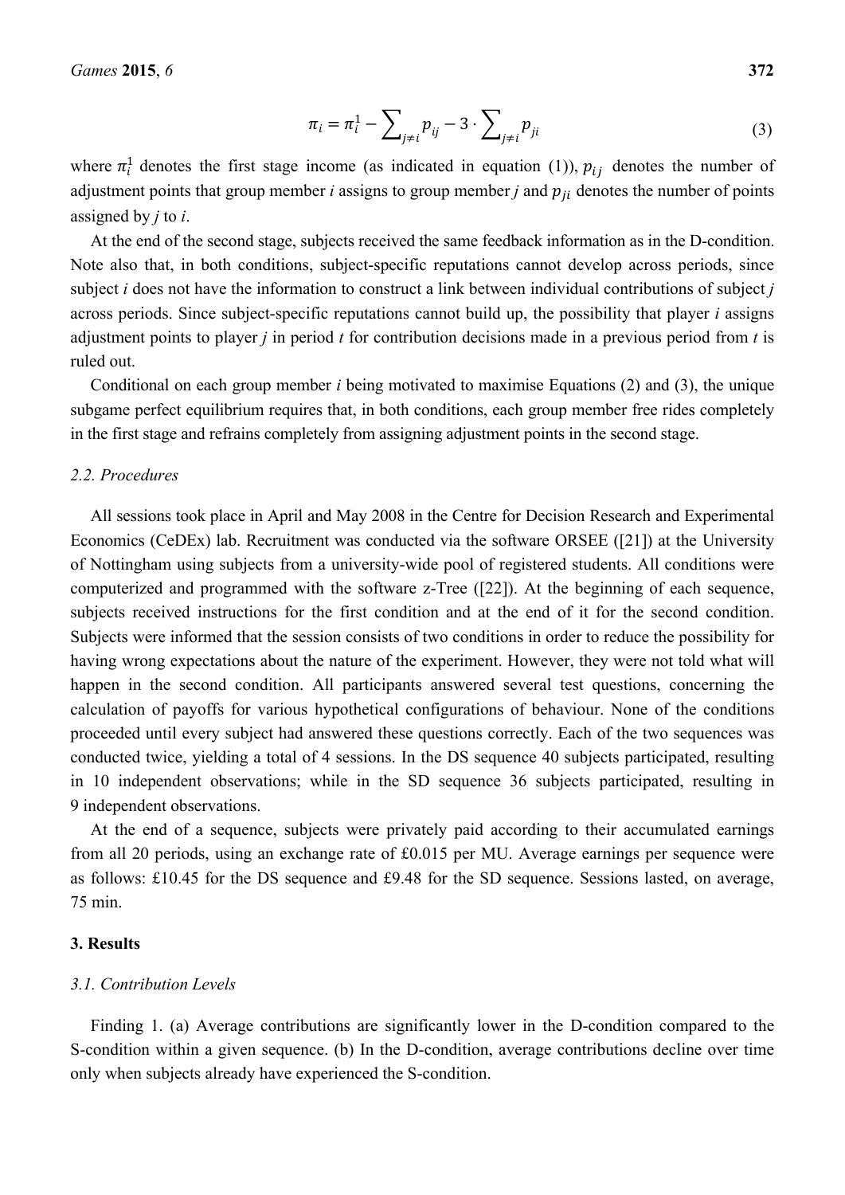$$
\pi_i = \pi_i^1 - \sum_{j \neq i} p_{ij} - 3 \cdot \sum_{j \neq i} p_{ji}
$$
 (3)

where  $\pi_i^1$  denotes the first stage income (as indicated in equation (1)),  $p_{ij}$  denotes the number of adjustment points that group member *i* assigns to group member *j* and  $p_{ji}$  denotes the number of points assigned by *j* to *i*.

At the end of the second stage, subjects received the same feedback information as in the D-condition. Note also that, in both conditions, subject-specific reputations cannot develop across periods, since subject *i* does not have the information to construct a link between individual contributions of subject *j* across periods. Since subject-specific reputations cannot build up, the possibility that player *i* assigns adjustment points to player *j* in period *t* for contribution decisions made in a previous period from *t* is ruled out.

Conditional on each group member *i* being motivated to maximise Equations (2) and (3), the unique subgame perfect equilibrium requires that, in both conditions, each group member free rides completely in the first stage and refrains completely from assigning adjustment points in the second stage.

#### *2.2. Procedures*

All sessions took place in April and May 2008 in the Centre for Decision Research and Experimental Economics (CeDEx) lab. Recruitment was conducted via the software ORSEE ([21]) at the University of Nottingham using subjects from a university-wide pool of registered students. All conditions were computerized and programmed with the software z-Tree ([22]). At the beginning of each sequence, subjects received instructions for the first condition and at the end of it for the second condition. Subjects were informed that the session consists of two conditions in order to reduce the possibility for having wrong expectations about the nature of the experiment. However, they were not told what will happen in the second condition. All participants answered several test questions, concerning the calculation of payoffs for various hypothetical configurations of behaviour. None of the conditions proceeded until every subject had answered these questions correctly. Each of the two sequences was conducted twice, yielding a total of 4 sessions. In the DS sequence 40 subjects participated, resulting in 10 independent observations; while in the SD sequence 36 subjects participated, resulting in 9 independent observations.

At the end of a sequence, subjects were privately paid according to their accumulated earnings from all 20 periods, using an exchange rate of £0.015 per MU. Average earnings per sequence were as follows: £10.45 for the DS sequence and £9.48 for the SD sequence. Sessions lasted, on average, 75 min.

#### **3. Results**

#### *3.1. Contribution Levels*

Finding 1. (a) Average contributions are significantly lower in the D-condition compared to the S-condition within a given sequence. (b) In the D-condition, average contributions decline over time only when subjects already have experienced the S-condition.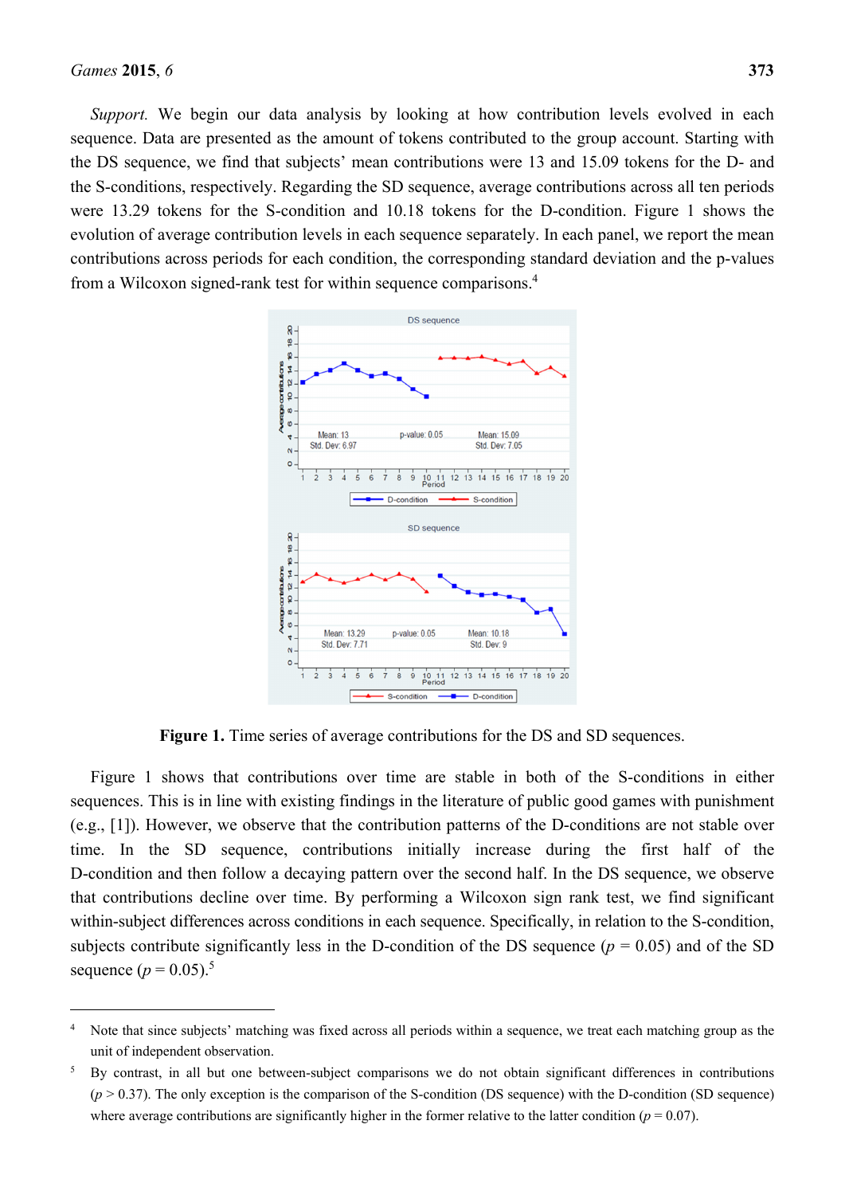$\overline{a}$ 

*Support.* We begin our data analysis by looking at how contribution levels evolved in each sequence. Data are presented as the amount of tokens contributed to the group account. Starting with the DS sequence, we find that subjects' mean contributions were 13 and 15.09 tokens for the D- and the S-conditions, respectively. Regarding the SD sequence, average contributions across all ten periods were 13.29 tokens for the S-condition and 10.18 tokens for the D-condition. Figure 1 shows the evolution of average contribution levels in each sequence separately. In each panel, we report the mean contributions across periods for each condition, the corresponding standard deviation and the p-values from a Wilcoxon signed-rank test for within sequence comparisons.4



**Figure 1.** Time series of average contributions for the DS and SD sequences.

Figure 1 shows that contributions over time are stable in both of the S-conditions in either sequences. This is in line with existing findings in the literature of public good games with punishment (e.g., [1]). However, we observe that the contribution patterns of the D-conditions are not stable over time. In the SD sequence, contributions initially increase during the first half of the D-condition and then follow a decaying pattern over the second half. In the DS sequence, we observe that contributions decline over time. By performing a Wilcoxon sign rank test, we find significant within-subject differences across conditions in each sequence. Specifically, in relation to the S-condition, subjects contribute significantly less in the D-condition of the DS sequence  $(p = 0.05)$  and of the SD sequence  $(p = 0.05)^5$ 

<sup>4</sup> Note that since subjects' matching was fixed across all periods within a sequence, we treat each matching group as the unit of independent observation.

<sup>5</sup> By contrast, in all but one between-subject comparisons we do not obtain significant differences in contributions  $(p > 0.37)$ . The only exception is the comparison of the S-condition (DS sequence) with the D-condition (SD sequence) where average contributions are significantly higher in the former relative to the latter condition ( $p = 0.07$ ).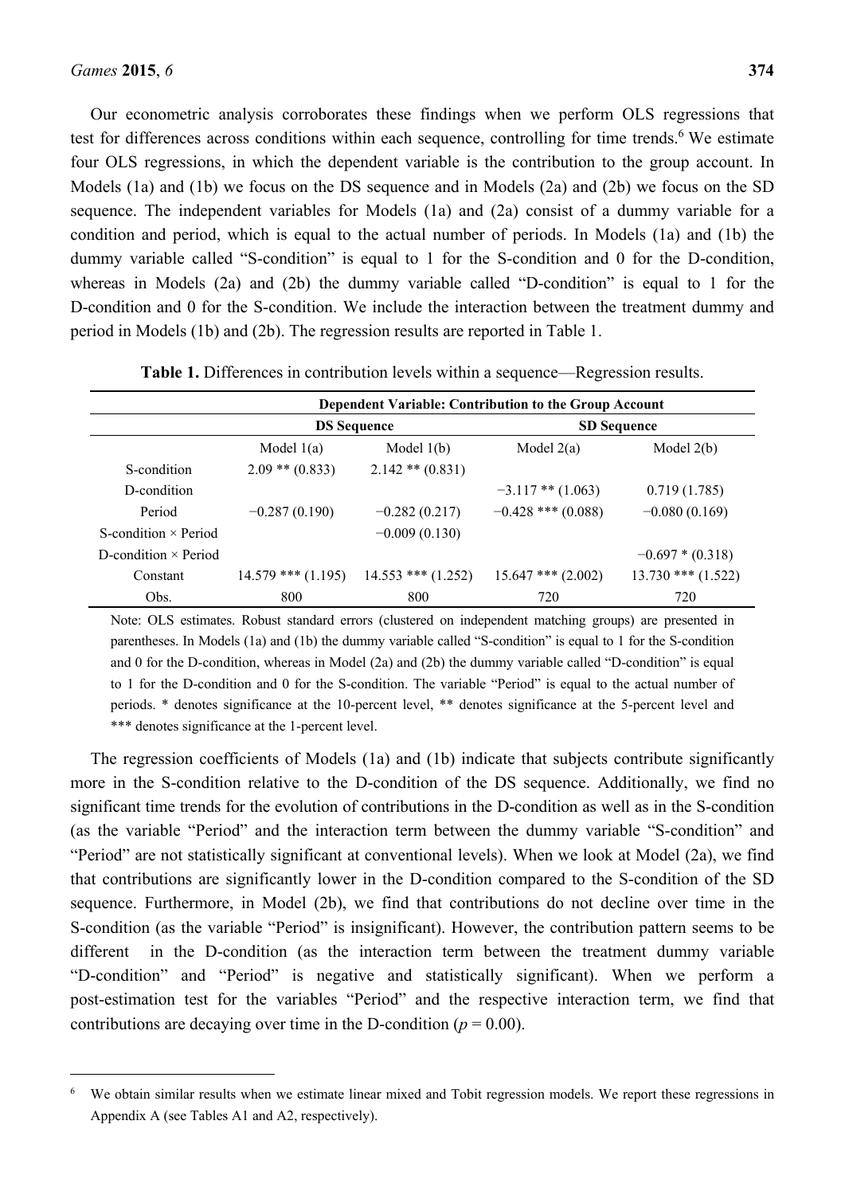$\overline{a}$ 

Our econometric analysis corroborates these findings when we perform OLS regressions that test for differences across conditions within each sequence, controlling for time trends.<sup>6</sup> We estimate four OLS regressions, in which the dependent variable is the contribution to the group account. In Models (1a) and (1b) we focus on the DS sequence and in Models (2a) and (2b) we focus on the SD sequence. The independent variables for Models (1a) and (2a) consist of a dummy variable for a condition and period, which is equal to the actual number of periods. In Models (1a) and (1b) the dummy variable called "S-condition" is equal to 1 for the S-condition and 0 for the D-condition, whereas in Models (2a) and (2b) the dummy variable called "D-condition" is equal to 1 for the D-condition and 0 for the S-condition. We include the interaction between the treatment dummy and period in Models (1b) and (2b). The regression results are reported in Table 1.

|                             | Dependent Variable: Contribution to the Group Account |                        |                        |                        |
|-----------------------------|-------------------------------------------------------|------------------------|------------------------|------------------------|
|                             | <b>DS</b> Sequence                                    |                        | <b>SD</b> Sequence     |                        |
|                             | Model $1(a)$                                          | Model $1(b)$           | Model $2(a)$           | Model $2(b)$           |
| S-condition                 | $2.09$ ** $(0.833)$                                   | $2.142**$ (0.831)      |                        |                        |
| D-condition                 |                                                       |                        | $-3.117$ ** $(1.063)$  | 0.719(1.785)           |
| Period                      | $-0.287(0.190)$                                       | $-0.282(0.217)$        | $-0.428$ *** (0.088)   | $-0.080(0.169)$        |
| S-condition $\times$ Period |                                                       | $-0.009(0.130)$        |                        |                        |
| D-condition $\times$ Period |                                                       |                        |                        | $-0.697*(0.318)$       |
| Constant                    | $14.579$ *** $(1.195)$                                | $14.553$ *** $(1.252)$ | $15.647$ *** $(2.002)$ | $13.730$ *** $(1.522)$ |
| Obs.                        | 800                                                   | 800                    | 720                    | 720                    |

**Table 1.** Differences in contribution levels within a sequence—Regression results.

Note: OLS estimates. Robust standard errors (clustered on independent matching groups) are presented in parentheses. In Models (1a) and (1b) the dummy variable called "S-condition" is equal to 1 for the S-condition and 0 for the D-condition, whereas in Model (2a) and (2b) the dummy variable called "D-condition" is equal to 1 for the D-condition and 0 for the S-condition. The variable "Period" is equal to the actual number of periods. \* denotes significance at the 10-percent level, \*\* denotes significance at the 5-percent level and \*\*\* denotes significance at the 1-percent level.

The regression coefficients of Models (1a) and (1b) indicate that subjects contribute significantly more in the S-condition relative to the D-condition of the DS sequence. Additionally, we find no significant time trends for the evolution of contributions in the D-condition as well as in the S-condition (as the variable "Period" and the interaction term between the dummy variable "S-condition" and "Period" are not statistically significant at conventional levels). When we look at Model (2a), we find that contributions are significantly lower in the D-condition compared to the S-condition of the SD sequence. Furthermore, in Model (2b), we find that contributions do not decline over time in the S-condition (as the variable "Period" is insignificant). However, the contribution pattern seems to be different in the D-condition (as the interaction term between the treatment dummy variable "D-condition" and "Period" is negative and statistically significant). When we perform a post-estimation test for the variables "Period" and the respective interaction term, we find that contributions are decaying over time in the D-condition ( $p = 0.00$ ).

<sup>6</sup> We obtain similar results when we estimate linear mixed and Tobit regression models. We report these regressions in Appendix A (see Tables A1 and A2, respectively).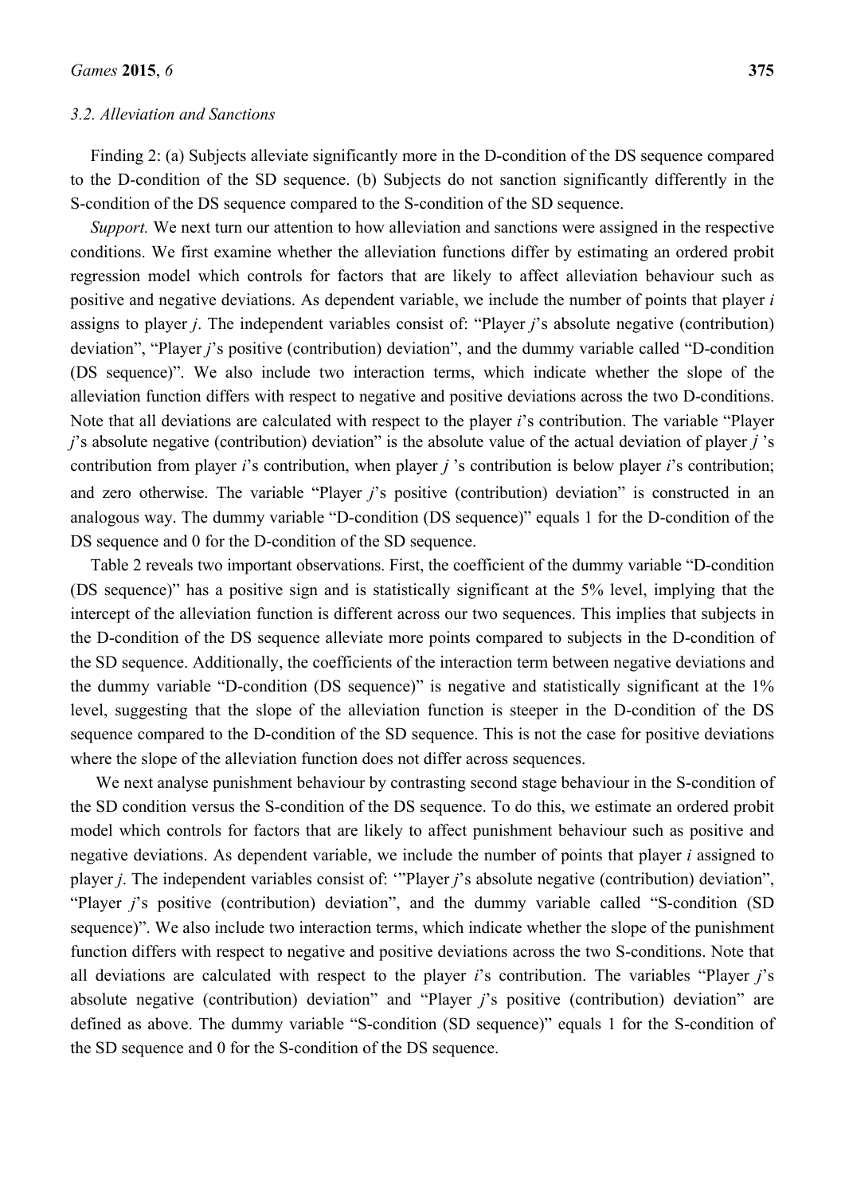#### *3.2. Alleviation and Sanctions*

Finding 2: (a) Subjects alleviate significantly more in the D-condition of the DS sequence compared to the D-condition of the SD sequence. (b) Subjects do not sanction significantly differently in the S-condition of the DS sequence compared to the S-condition of the SD sequence.

*Support.* We next turn our attention to how alleviation and sanctions were assigned in the respective conditions. We first examine whether the alleviation functions differ by estimating an ordered probit regression model which controls for factors that are likely to affect alleviation behaviour such as positive and negative deviations. As dependent variable, we include the number of points that player *i* assigns to player *j*. The independent variables consist of: "Player *j*'s absolute negative (contribution) deviation", "Player *j*'s positive (contribution) deviation", and the dummy variable called "D-condition" (DS sequence)". We also include two interaction terms, which indicate whether the slope of the alleviation function differs with respect to negative and positive deviations across the two D-conditions. Note that all deviations are calculated with respect to the player *i*'s contribution. The variable "Player *j*'s absolute negative (contribution) deviation" is the absolute value of the actual deviation of player *j* 's contribution from player *i*'s contribution, when player *j* 's contribution is below player *i*'s contribution; and zero otherwise. The variable "Player *j*'s positive (contribution) deviation" is constructed in an analogous way. The dummy variable "D-condition (DS sequence)" equals 1 for the D-condition of the DS sequence and 0 for the D-condition of the SD sequence.

Table 2 reveals two important observations. First, the coefficient of the dummy variable "D-condition (DS sequence)" has a positive sign and is statistically significant at the 5% level, implying that the intercept of the alleviation function is different across our two sequences. This implies that subjects in the D-condition of the DS sequence alleviate more points compared to subjects in the D-condition of the SD sequence. Additionally, the coefficients of the interaction term between negative deviations and the dummy variable "D-condition (DS sequence)" is negative and statistically significant at the 1% level, suggesting that the slope of the alleviation function is steeper in the D-condition of the DS sequence compared to the D-condition of the SD sequence. This is not the case for positive deviations where the slope of the alleviation function does not differ across sequences.

We next analyse punishment behaviour by contrasting second stage behaviour in the S-condition of the SD condition versus the S-condition of the DS sequence. To do this, we estimate an ordered probit model which controls for factors that are likely to affect punishment behaviour such as positive and negative deviations. As dependent variable, we include the number of points that player *i* assigned to player *j*. The independent variables consist of: '"Player *j*'s absolute negative (contribution) deviation", "Player *j*'s positive (contribution) deviation", and the dummy variable called "S-condition (SD sequence)". We also include two interaction terms, which indicate whether the slope of the punishment function differs with respect to negative and positive deviations across the two S-conditions. Note that all deviations are calculated with respect to the player *i*'s contribution. The variables "Player *j*'s absolute negative (contribution) deviation" and "Player *j*'s positive (contribution) deviation" are defined as above. The dummy variable "S-condition (SD sequence)" equals 1 for the S-condition of the SD sequence and 0 for the S-condition of the DS sequence.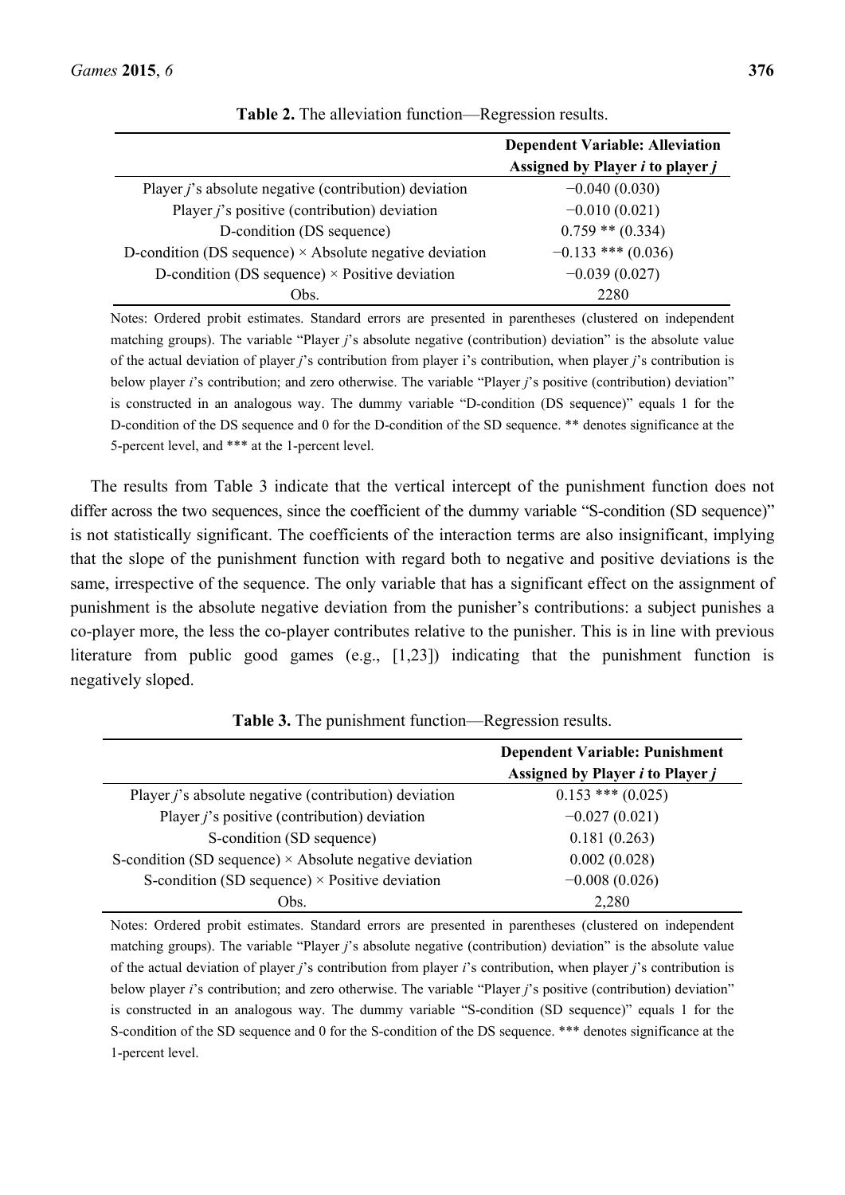|                                                                | <b>Dependent Variable: Alleviation</b><br>Assigned by Player <i>i</i> to player <i>j</i> |
|----------------------------------------------------------------|------------------------------------------------------------------------------------------|
| Player <i>j</i> 's absolute negative (contribution) deviation  | $-0.040(0.030)$                                                                          |
| Player $j$ 's positive (contribution) deviation                | $-0.010(0.021)$                                                                          |
| D-condition (DS sequence)                                      | $0.759$ ** $(0.334)$                                                                     |
| D-condition (DS sequence) $\times$ Absolute negative deviation | $-0.133$ *** (0.036)                                                                     |
| D-condition (DS sequence) $\times$ Positive deviation          | $-0.039(0.027)$                                                                          |
| Obs.                                                           | 2280                                                                                     |

|  |  | Table 2. The alleviation function—Regression results. |  |
|--|--|-------------------------------------------------------|--|
|  |  |                                                       |  |

Notes: Ordered probit estimates. Standard errors are presented in parentheses (clustered on independent matching groups). The variable "Player *j*'s absolute negative (contribution) deviation" is the absolute value of the actual deviation of player *j*'s contribution from player i's contribution, when player *j*'s contribution is below player *i*'s contribution; and zero otherwise. The variable "Player *j*'s positive (contribution) deviation" is constructed in an analogous way. The dummy variable "D-condition (DS sequence)" equals 1 for the D-condition of the DS sequence and 0 for the D-condition of the SD sequence. \*\* denotes significance at the 5-percent level, and \*\*\* at the 1-percent level.

The results from Table 3 indicate that the vertical intercept of the punishment function does not differ across the two sequences, since the coefficient of the dummy variable "S-condition (SD sequence)" is not statistically significant. The coefficients of the interaction terms are also insignificant, implying that the slope of the punishment function with regard both to negative and positive deviations is the same, irrespective of the sequence. The only variable that has a significant effect on the assignment of punishment is the absolute negative deviation from the punisher's contributions: a subject punishes a co-player more, the less the co-player contributes relative to the punisher. This is in line with previous literature from public good games (e.g., [1,23]) indicating that the punishment function is negatively sloped.

|                                                                | <b>Dependent Variable: Punishment</b><br>Assigned by Player <i>i</i> to Player <i>j</i> |
|----------------------------------------------------------------|-----------------------------------------------------------------------------------------|
| Player <i>j</i> 's absolute negative (contribution) deviation  | $0.153$ *** $(0.025)$                                                                   |
| Player $j$ 's positive (contribution) deviation                | $-0.027(0.021)$                                                                         |
| S-condition (SD sequence)                                      | 0.181(0.263)                                                                            |
| S-condition (SD sequence) $\times$ Absolute negative deviation | 0.002(0.028)                                                                            |
| S-condition (SD sequence) $\times$ Positive deviation          | $-0.008(0.026)$                                                                         |
| Obs.                                                           | 2,280                                                                                   |

**Table 3.** The punishment function—Regression results.

Notes: Ordered probit estimates. Standard errors are presented in parentheses (clustered on independent matching groups). The variable "Player *j*'s absolute negative (contribution) deviation" is the absolute value of the actual deviation of player *j*'s contribution from player *i*'s contribution, when player *j*'s contribution is below player *i*'s contribution; and zero otherwise. The variable "Player *j*'s positive (contribution) deviation" is constructed in an analogous way. The dummy variable "S-condition (SD sequence)" equals 1 for the S-condition of the SD sequence and 0 for the S-condition of the DS sequence. \*\*\* denotes significance at the 1-percent level.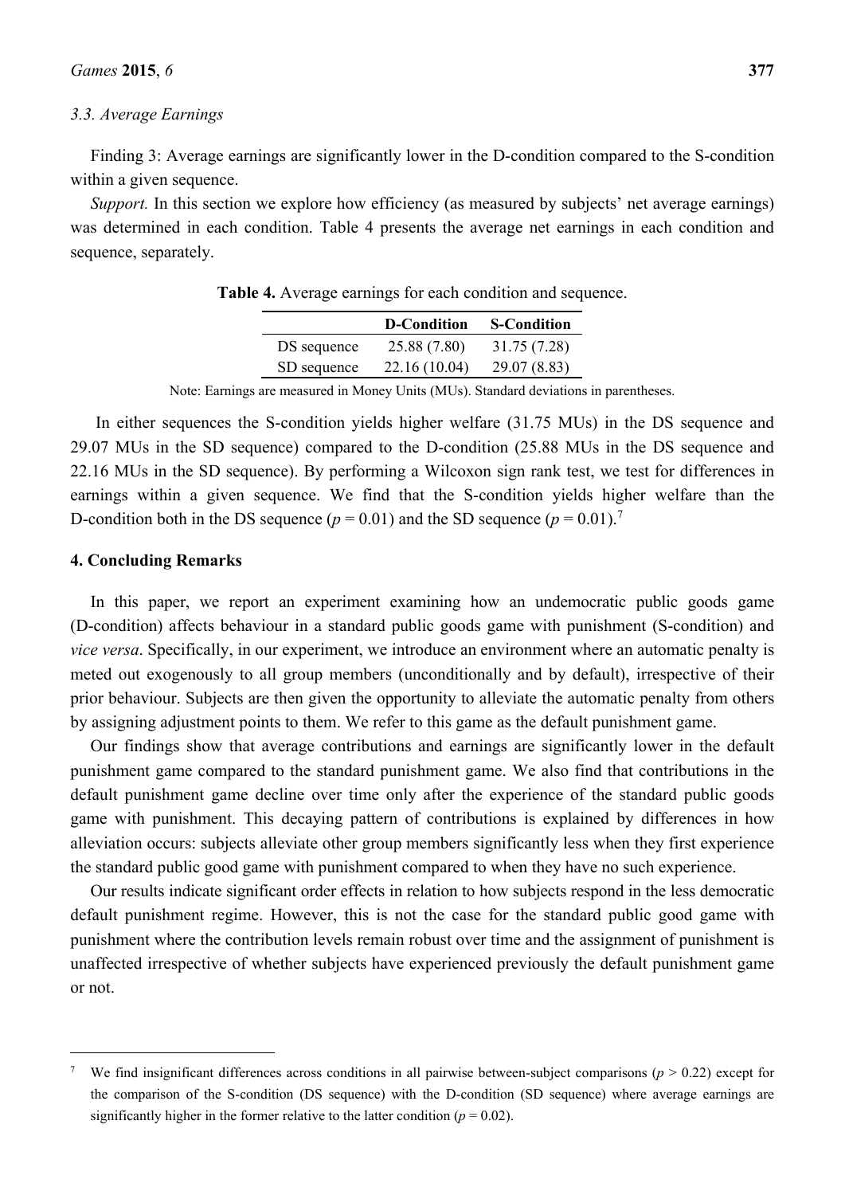#### *3.3. Average Earnings*

Finding 3: Average earnings are significantly lower in the D-condition compared to the S-condition within a given sequence.

*Support.* In this section we explore how efficiency (as measured by subjects' net average earnings) was determined in each condition. Table 4 presents the average net earnings in each condition and sequence, separately.

|             | <b>D-Condition</b> | <b>S-Condition</b> |
|-------------|--------------------|--------------------|
| DS sequence | 25.88 (7.80)       | 31.75 (7.28)       |
| SD sequence | 22.16 (10.04)      | 29.07 (8.83)       |

**Table 4.** Average earnings for each condition and sequence.

Note: Earnings are measured in Money Units (MUs). Standard deviations in parentheses.

In either sequences the S-condition yields higher welfare (31.75 MUs) in the DS sequence and 29.07 MUs in the SD sequence) compared to the D-condition (25.88 MUs in the DS sequence and 22.16 MUs in the SD sequence). By performing a Wilcoxon sign rank test, we test for differences in earnings within a given sequence. We find that the S-condition yields higher welfare than the D-condition both in the DS sequence ( $p = 0.01$ ) and the SD sequence ( $p = 0.01$ ).<sup>7</sup>

#### **4. Concluding Remarks**

 $\overline{a}$ 

In this paper, we report an experiment examining how an undemocratic public goods game (D-condition) affects behaviour in a standard public goods game with punishment (S-condition) and *vice versa*. Specifically, in our experiment, we introduce an environment where an automatic penalty is meted out exogenously to all group members (unconditionally and by default), irrespective of their prior behaviour. Subjects are then given the opportunity to alleviate the automatic penalty from others by assigning adjustment points to them. We refer to this game as the default punishment game.

Our findings show that average contributions and earnings are significantly lower in the default punishment game compared to the standard punishment game. We also find that contributions in the default punishment game decline over time only after the experience of the standard public goods game with punishment. This decaying pattern of contributions is explained by differences in how alleviation occurs: subjects alleviate other group members significantly less when they first experience the standard public good game with punishment compared to when they have no such experience.

Our results indicate significant order effects in relation to how subjects respond in the less democratic default punishment regime. However, this is not the case for the standard public good game with punishment where the contribution levels remain robust over time and the assignment of punishment is unaffected irrespective of whether subjects have experienced previously the default punishment game or not.

<sup>7</sup> We find insignificant differences across conditions in all pairwise between-subject comparisons ( $p > 0.22$ ) except for the comparison of the S-condition (DS sequence) with the D-condition (SD sequence) where average earnings are significantly higher in the former relative to the latter condition ( $p = 0.02$ ).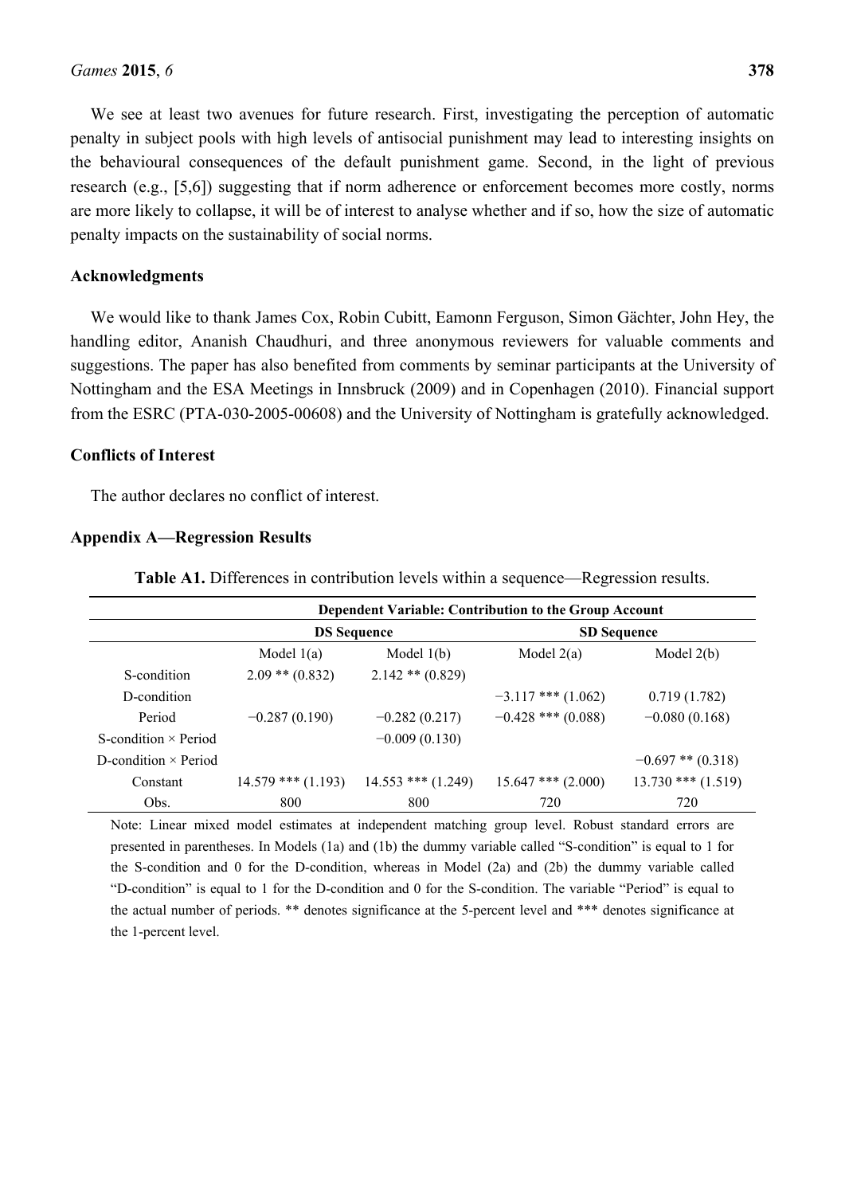We see at least two avenues for future research. First, investigating the perception of automatic penalty in subject pools with high levels of antisocial punishment may lead to interesting insights on the behavioural consequences of the default punishment game. Second, in the light of previous research (e.g., [5,6]) suggesting that if norm adherence or enforcement becomes more costly, norms are more likely to collapse, it will be of interest to analyse whether and if so, how the size of automatic penalty impacts on the sustainability of social norms.

#### **Acknowledgments**

We would like to thank James Cox, Robin Cubitt, Eamonn Ferguson, Simon Gächter, John Hey, the handling editor, Ananish Chaudhuri, and three anonymous reviewers for valuable comments and suggestions. The paper has also benefited from comments by seminar participants at the University of Nottingham and the ESA Meetings in Innsbruck (2009) and in Copenhagen (2010). Financial support from the ESRC (PTA-030-2005-00608) and the University of Nottingham is gratefully acknowledged.

#### **Conflicts of Interest**

The author declares no conflict of interest.

#### **Appendix A—Regression Results**

**Table A1.** Differences in contribution levels within a sequence—Regression results.

|                             | Dependent Variable: Contribution to the Group Account |                        |                        |                        |
|-----------------------------|-------------------------------------------------------|------------------------|------------------------|------------------------|
|                             | <b>DS</b> Sequence                                    |                        | <b>SD Sequence</b>     |                        |
|                             | Model $1(a)$                                          | Model $1(b)$           | Model $2(a)$           | Model $2(b)$           |
| S-condition                 | $2.09$ ** $(0.832)$                                   | $2.142$ ** $(0.829)$   |                        |                        |
| D-condition                 |                                                       |                        | $-3.117$ *** $(1.062)$ | 0.719(1.782)           |
| Period                      | $-0.287(0.190)$                                       | $-0.282(0.217)$        | $-0.428$ *** (0.088)   | $-0.080(0.168)$        |
| S-condition $\times$ Period |                                                       | $-0.009(0.130)$        |                        |                        |
| D-condition $\times$ Period |                                                       |                        |                        | $-0.697$ ** $(0.318)$  |
| Constant                    | $14.579$ *** (1.193)                                  | $14.553$ *** $(1.249)$ | $15.647$ *** $(2.000)$ | $13.730$ *** $(1.519)$ |
| Obs.                        | 800                                                   | 800                    | 720                    | 720                    |

Note: Linear mixed model estimates at independent matching group level. Robust standard errors are presented in parentheses. In Models (1a) and (1b) the dummy variable called "S-condition" is equal to 1 for the S-condition and 0 for the D-condition, whereas in Model (2a) and (2b) the dummy variable called "D-condition" is equal to 1 for the D-condition and 0 for the S-condition. The variable "Period" is equal to the actual number of periods. \*\* denotes significance at the 5-percent level and \*\*\* denotes significance at the 1-percent level.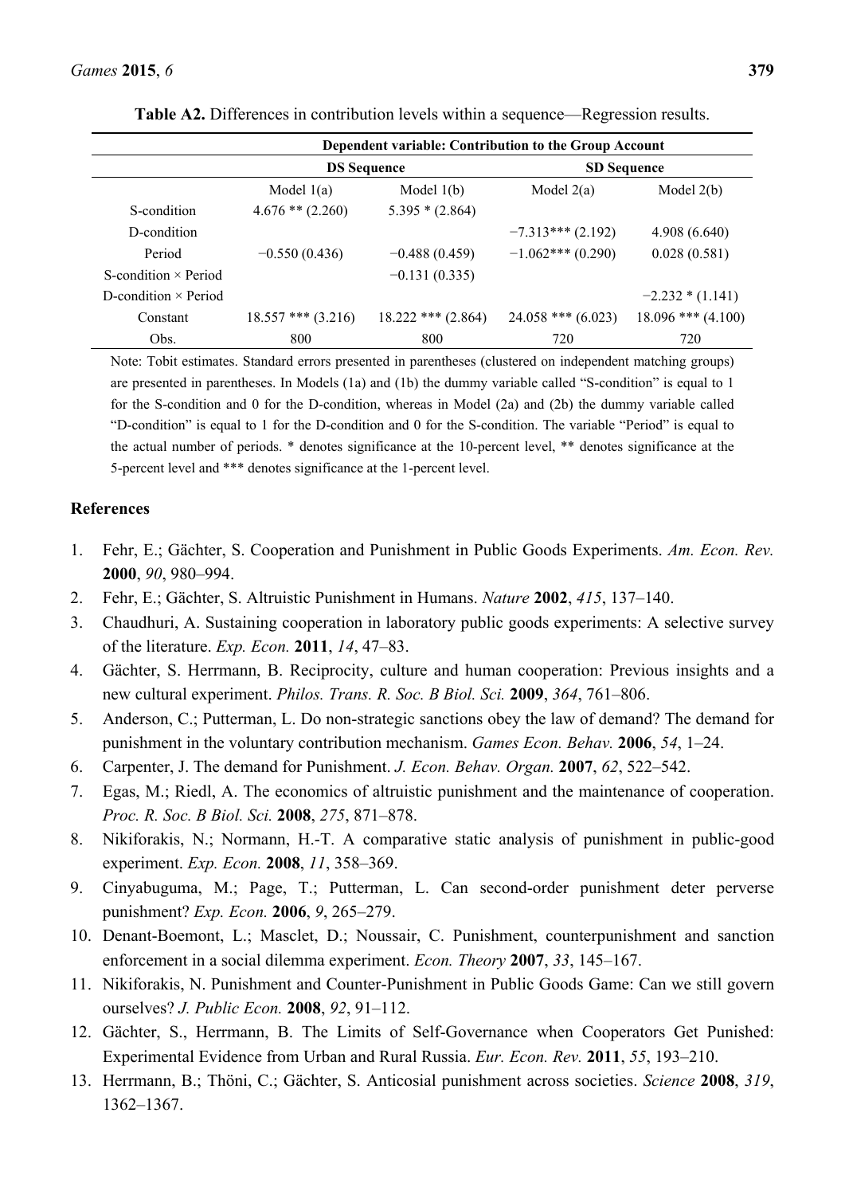| Dependent variable: Contribution to the Group Account |                        |                      |                        |                        |
|-------------------------------------------------------|------------------------|----------------------|------------------------|------------------------|
|                                                       | <b>DS</b> Sequence     |                      | <b>SD Sequence</b>     |                        |
|                                                       | Model $1(a)$           | Model $1(b)$         | Model $2(a)$           | Model $2(b)$           |
| S-condition                                           | $4.676$ ** $(2.260)$   | $5.395 * (2.864)$    |                        |                        |
| D-condition                                           |                        |                      | $-7.313***$ (2.192)    | 4.908(6.640)           |
| Period                                                | $-0.550(0.436)$        | $-0.488(0.459)$      | $-1.062***(0.290)$     | 0.028(0.581)           |
| S-condition $\times$ Period                           |                        | $-0.131(0.335)$      |                        |                        |
| D-condition $\times$ Period                           |                        |                      |                        | $-2.232 * (1.141)$     |
| Constant                                              | $18.557$ *** $(3.216)$ | $18.222$ *** (2.864) | $24.058$ *** $(6.023)$ | $18.096$ *** $(4.100)$ |
| Obs.                                                  | 800                    | 800                  | 720                    | 720                    |

**Table A2.** Differences in contribution levels within a sequence—Regression results.

Note: Tobit estimates. Standard errors presented in parentheses (clustered on independent matching groups) are presented in parentheses. In Models (1a) and (1b) the dummy variable called "S-condition" is equal to 1 for the S-condition and 0 for the D-condition, whereas in Model (2a) and (2b) the dummy variable called "D-condition" is equal to 1 for the D-condition and 0 for the S-condition. The variable "Period" is equal to the actual number of periods. \* denotes significance at the 10-percent level, \*\* denotes significance at the 5-percent level and \*\*\* denotes significance at the 1-percent level.

### **References**

- 1. Fehr, E.; Gächter, S. Cooperation and Punishment in Public Goods Experiments. *Am. Econ. Rev.* **2000**, *90*, 980–994.
- 2. Fehr, E.; Gächter, S. Altruistic Punishment in Humans. *Nature* **2002**, *415*, 137–140.
- 3. Chaudhuri, A. Sustaining cooperation in laboratory public goods experiments: A selective survey of the literature. *Exp. Econ.* **2011**, *14*, 47–83.
- 4. Gächter, S. Herrmann, B. Reciprocity, culture and human cooperation: Previous insights and a new cultural experiment. *Philos. Trans. R. Soc. B Biol. Sci.* **2009**, *364*, 761–806.
- 5. Anderson, C.; Putterman, L. Do non-strategic sanctions obey the law of demand? The demand for punishment in the voluntary contribution mechanism. *Games Econ. Behav.* **2006**, *54*, 1–24.
- 6. Carpenter, J. The demand for Punishment. *J. Econ. Behav. Organ.* **2007**, *62*, 522–542.
- 7. Egas, M.; Riedl, A. The economics of altruistic punishment and the maintenance of cooperation. *Proc. R. Soc. B Biol. Sci.* **2008**, *275*, 871–878.
- 8. Nikiforakis, N.; Normann, H.-T. A comparative static analysis of punishment in public-good experiment. *Exp. Econ.* **2008**, *11*, 358–369.
- 9. Cinyabuguma, M.; Page, T.; Putterman, L. Can second-order punishment deter perverse punishment? *Exp. Econ.* **2006**, *9*, 265–279.
- 10. Denant-Boemont, L.; Masclet, D.; Noussair, C. Punishment, counterpunishment and sanction enforcement in a social dilemma experiment. *Econ. Theory* **2007**, *33*, 145–167.
- 11. Nikiforakis, N. Punishment and Counter-Punishment in Public Goods Game: Can we still govern ourselves? *J. Public Econ.* **2008**, *92*, 91–112.
- 12. Gächter, S., Herrmann, B. The Limits of Self-Governance when Cooperators Get Punished: Experimental Evidence from Urban and Rural Russia. *Eur. Econ. Rev.* **2011**, *55*, 193–210.
- 13. Herrmann, B.; Thöni, C.; Gächter, S. Anticosial punishment across societies. *Science* **2008**, *319*, 1362–1367.